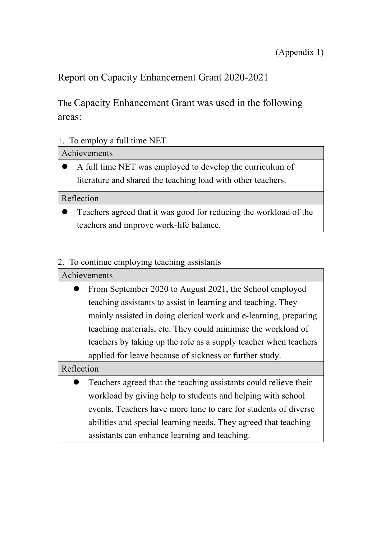# Report on Capacity Enhancement Grant 2020-2021

The Capacity Enhancement Grant was used in the following areas:

1. To employ a full time NET

#### Achievements

A full time NET was employed to develop the curriculum of literature and shared the teaching load with other teachers.

#### Reflection

• Teachers agreed that it was good for reducing the workload of the teachers and improve work-life balance.

### 2. To continue employing teaching assistants

#### Achievements

From September 2020 to August 2021, the School employed teaching assistants to assist in learning and teaching. They mainly assisted in doing clerical work and e-learning, preparing teaching materials, etc. They could minimise the workload of teachers by taking up the role as a supply teacher when teachers applied for leave because of sickness or further study.

## Reflection

Teachers agreed that the teaching assistants could relieve their workload by giving help to students and helping with school events. Teachers have more time to care for students of diverse abilities and special learning needs. They agreed that teaching assistants can enhance learning and teaching.